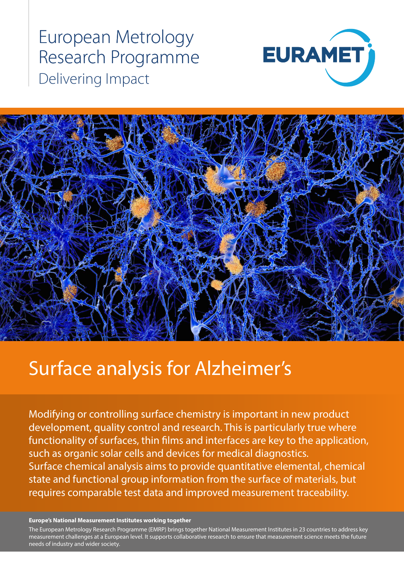European Metrology Research Programme Delivering Impact





# Surface analysis for Alzheimer's

Modifying or controlling surface chemistry is important in new product development, quality control and research. This is particularly true where functionality of surfaces, thin films and interfaces are key to the application, such as organic solar cells and devices for medical diagnostics. Surface chemical analysis aims to provide quantitative elemental, chemical state and functional group information from the surface of materials, but requires comparable test data and improved measurement traceability.

#### **Europe's National Measurement Institutes working together**

measurement challenges at a European level. It supports collaborative research to ensure that measurement science meets the future<br>needs of industry and wider society The European Metrology Research Programme (EMRP) brings together National Measurement Institutes in 23 countries to address key needs of industry and wider society.